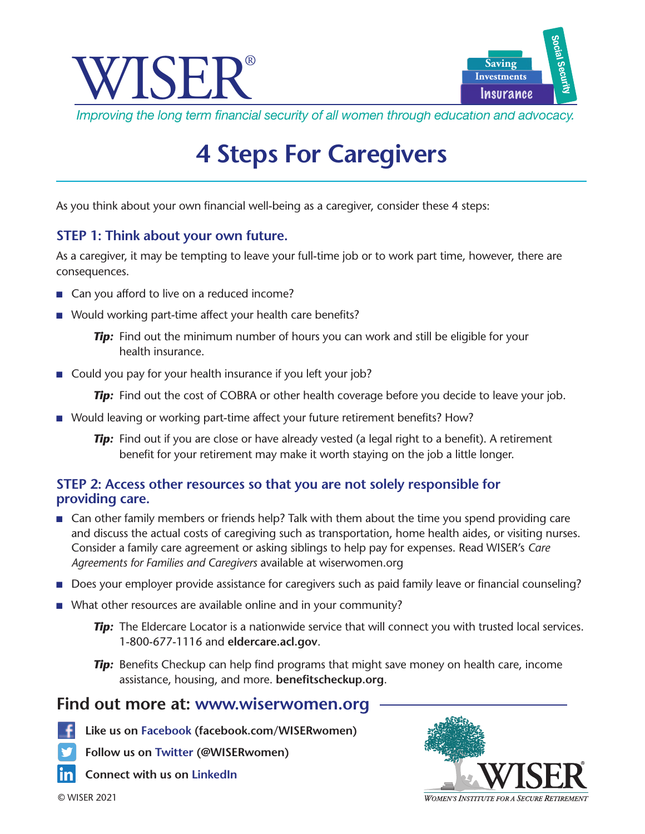



# **4 Steps For Caregivers**

As you think about your own financial well-being as a caregiver, consider these 4 steps:

#### **STEP 1: Think about your own future.**

As a caregiver, it may be tempting to leave your full-time job or to work part time, however, there are consequences.

- Can you afford to live on a reduced income?
- Would working part-time affect your health care benefits?

*Tip*: Find out the minimum number of hours you can work and still be eligible for your health insurance.

■ Could you pay for your health insurance if you left your job?

**Tip:** Find out the cost of COBRA or other health coverage before you decide to leave your job.

■ Would leaving or working part-time affect your future retirement benefits? How?

*Tip*: Find out if you are close or have already vested (a legal right to a benefit). A retirement benefit for your retirement may make it worth staying on the job a little longer.

#### **STEP 2: Access other resources so that you are not solely responsible for providing care.**

- n Can other family members or friends help? Talk with them about the time you spend providing care and discuss the actual costs of caregiving such as transportation, home health aides, or visiting nurses. Consider a family care agreement or asking siblings to help pay for expenses. Read WISER's *Care Agreements for Families and Caregivers* available at wiserwomen.org
- n Does your employer provide assistance for caregivers such as paid family leave or financial counseling?
- $\blacksquare$  What other resources are available online and in your community?
	- *Tip:* The Eldercare Locator is a nationwide service that will connect you with trusted local services. 1-800-677-1116 and **eldercare.acl.gov**.
	- *Tip:* Benefits Checkup can help find programs that might save money on health care, income assistance, housing, and more. **benefitscheckup.org**.

## **Find out more at: www.wiserwomen.org**

- **Like us on Facebook (facebook.com/WISERwomen)** 
	- **Follow us on Twitter (@WISERwomen)**
- in **Connect with us on LinkedIn**